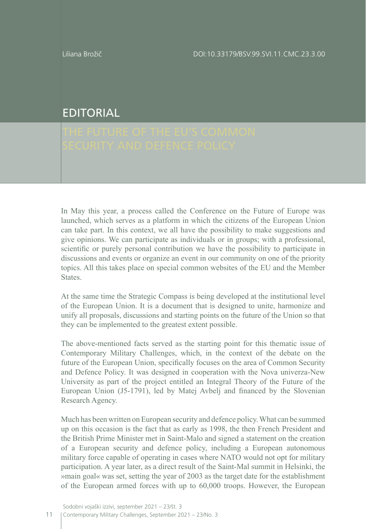## EDITORIAL

In May this year, a process called the Conference on the Future of Europe was launched, which serves as a platform in which the citizens of the European Union can take part. In this context, we all have the possibility to make suggestions and give opinions. We can participate as individuals or in groups; with a professional, scientific or purely personal contribution we have the possibility to participate in discussions and events or organize an event in our community on one of the priority topics. All this takes place on special common websites of the EU and the Member States.

At the same time the Strategic Compass is being developed at the institutional level of the European Union. It is a document that is designed to unite, harmonize and unify all proposals, discussions and starting points on the future of the Union so that they can be implemented to the greatest extent possible.

The above-mentioned facts served as the starting point for this thematic issue of Contemporary Military Challenges, which, in the context of the debate on the future of the European Union, specifically focuses on the area of Common Security and Defence Policy. It was designed in cooperation with the Nova univerza-New University as part of the project entitled an Integral Theory of the Future of the European Union (J5-1791), led by Matej Avbelj and financed by the Slovenian Research Agency.

Much has been written on European security and defence policy. What can be summed up on this occasion is the fact that as early as 1998, the then French President and the British Prime Minister met in Saint-Malo and signed a statement on the creation of a European security and defence policy, including a European autonomous military force capable of operating in cases where NATO would not opt for military participation. A year later, as a direct result of the Saint-Mal summit in Helsinki, the »main goal« was set, setting the year of 2003 as the target date for the establishment of the European armed forces with up to 60,000 troops. However, the European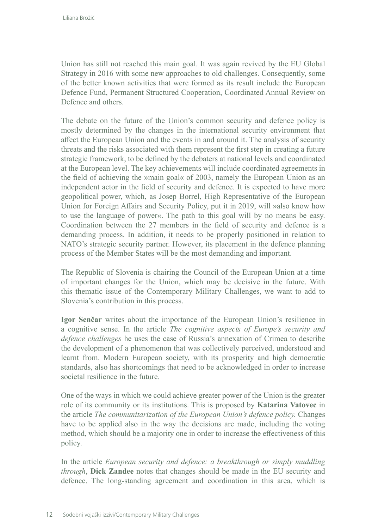Union has still not reached this main goal. It was again revived by the EU Global Strategy in 2016 with some new approaches to old challenges. Consequently, some of the better known activities that were formed as its result include the European Defence Fund, Permanent Structured Cooperation, Coordinated Annual Review on Defence and others.

The debate on the future of the Union's common security and defence policy is mostly determined by the changes in the international security environment that affect the European Union and the events in and around it. The analysis of security threats and the risks associated with them represent the first step in creating a future strategic framework, to be defined by the debaters at national levels and coordinated at the European level. The key achievements will include coordinated agreements in the field of achieving the »main goal« of 2003, namely the European Union as an independent actor in the field of security and defence. It is expected to have more geopolitical power, which, as Josep Borrel, High Representative of the European Union for Foreign Affairs and Security Policy, put it in 2019, will »also know how to use the language of power«. The path to this goal will by no means be easy. Coordination between the 27 members in the field of security and defence is a demanding process. In addition, it needs to be properly positioned in relation to NATO's strategic security partner. However, its placement in the defence planning process of the Member States will be the most demanding and important.

The Republic of Slovenia is chairing the Council of the European Union at a time of important changes for the Union, which may be decisive in the future. With this thematic issue of the Contemporary Military Challenges, we want to add to Slovenia's contribution in this process.

**Igor Senčar** writes about the importance of the European Union's resilience in a cognitive sense. In the article *The cognitive aspects of Europe's security and defence challenges* he uses the case of Russia's annexation of Crimea to describe the development of a phenomenon that was collectively perceived, understood and learnt from. Modern European society, with its prosperity and high democratic standards, also has shortcomings that need to be acknowledged in order to increase societal resilience in the future.

One of the ways in which we could achieve greater power of the Union is the greater role of its community or its institutions. This is proposed by **Katarina Vatovec** in the article *The communitarization of the European Union's defence policy.* Changes have to be applied also in the way the decisions are made, including the voting method, which should be a majority one in order to increase the effectiveness of this policy.

In the article *European security and defence: a breakthrough or simply muddling through*, **Dick Zandee** notes that changes should be made in the EU security and defence. The long-standing agreement and coordination in this area, which is